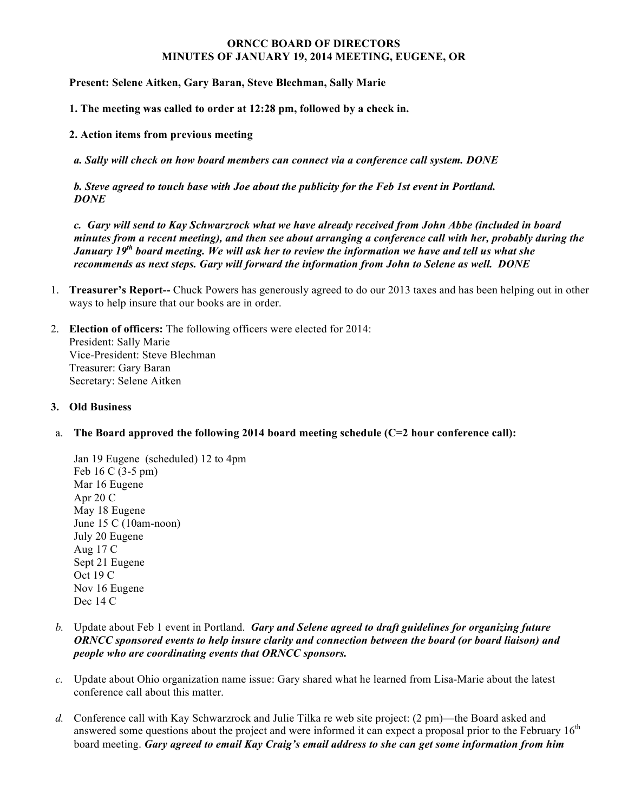## **ORNCC BOARD OF DIRECTORS MINUTES OF JANUARY 19, 2014 MEETING, EUGENE, OR**

**Present: Selene Aitken, Gary Baran, Steve Blechman, Sally Marie** 

**1. The meeting was called to order at 12:28 pm, followed by a check in.**

**2. Action items from previous meeting**

*a. Sally will check on how board members can connect via a conference call system. DONE*

*b. Steve agreed to touch base with Joe about the publicity for the Feb 1st event in Portland. DONE*

*c. Gary will send to Kay Schwarzrock what we have already received from John Abbe (included in board minutes from a recent meeting), and then see about arranging a conference call with her, probably during the January 19th board meeting. We will ask her to review the information we have and tell us what she recommends as next steps. Gary will forward the information from John to Selene as well. DONE*

- 1. **Treasurer's Report--** Chuck Powers has generously agreed to do our 2013 taxes and has been helping out in other ways to help insure that our books are in order.
- 2. **Election of officers:** The following officers were elected for 2014: President: Sally Marie Vice-President: Steve Blechman Treasurer: Gary Baran Secretary: Selene Aitken

## **3. Old Business**

a. **The Board approved the following 2014 board meeting schedule (C=2 hour conference call):** 

Jan 19 Eugene (scheduled) 12 to 4pm Feb 16 C (3-5 pm) Mar 16 Eugene Apr 20 C May 18 Eugene June 15 C (10am-noon) July 20 Eugene Aug 17 C Sept 21 Eugene Oct 19 C Nov 16 Eugene Dec 14 C

- *b.* Update about Feb 1 event in Portland. *Gary and Selene agreed to draft guidelines for organizing future ORNCC sponsored events to help insure clarity and connection between the board (or board liaison) and people who are coordinating events that ORNCC sponsors.*
- *c.* Update about Ohio organization name issue: Gary shared what he learned from Lisa-Marie about the latest conference call about this matter.
- *d.* Conference call with Kay Schwarzrock and Julie Tilka re web site project: (2 pm)—the Board asked and answered some questions about the project and were informed it can expect a proposal prior to the February  $16<sup>th</sup>$ board meeting. *Gary agreed to email Kay Craig's email address to she can get some information from him*